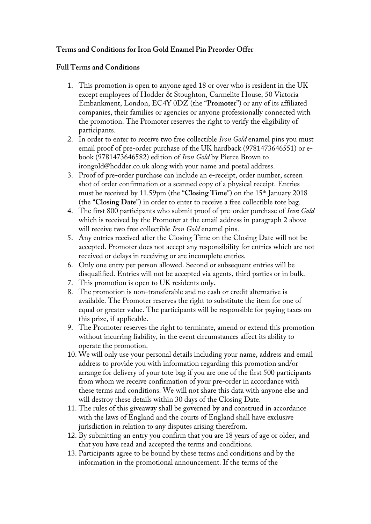## **Terms and Conditions for Iron Gold Enamel Pin Preorder Offer**

## **Full Terms and Conditions**

- 1. This promotion is open to anyone aged 18 or over who is resident in the UK except employees of Hodder & Stoughton, Carmelite House, 50 Victoria Embankment, London, EC4Y 0DZ (the "**Promoter**") or any of its affiliated companies, their families or agencies or anyone professionally connected with the promotion. The Promoter reserves the right to verify the eligibility of participants.
- 2. In order to enter to receive two free collectible *Iron Gold* enamel pins you must email proof of pre-order purchase of the UK hardback (9781473646551) or ebook (9781473646582) edition of *Iron Gold* by Pierce Brown to irongold@hodder.co.uk along with your name and postal address.
- 3. Proof of pre-order purchase can include an e-receipt, order number, screen shot of order confirmation or a scanned copy of a physical receipt. Entries must be received by 11.59pm (the "**Closing Time**") on the 15<sup>th</sup> January 2018 (the "**Closing Date**") in order to enter to receive a free collectible tote bag.
- 4. The first 800 participants who submit proof of pre-order purchase of *Iron Gold*  which is received by the Promoter at the email address in paragraph 2 above will receive two free collectible *Iron Gold* enamel pins.
- 5. Any entries received after the Closing Time on the Closing Date will not be accepted. Promoter does not accept any responsibility for entries which are not received or delays in receiving or are incomplete entries.
- 6. Only one entry per person allowed. Second or subsequent entries will be disqualified. Entries will not be accepted via agents, third parties or in bulk.
- 7. This promotion is open to UK residents only.
- 8. The promotion is non-transferable and no cash or credit alternative is available. The Promoter reserves the right to substitute the item for one of equal or greater value. The participants will be responsible for paying taxes on this prize, if applicable.
- 9. The Promoter reserves the right to terminate, amend or extend this promotion without incurring liability, in the event circumstances affect its ability to operate the promotion.
- 10. We will only use your personal details including your name, address and email address to provide you with information regarding this promotion and/or arrange for delivery of your tote bag if you are one of the first 500 participants from whom we receive confirmation of your pre-order in accordance with these terms and conditions. We will not share this data with anyone else and will destroy these details within 30 days of the Closing Date.
- 11. The rules of this giveaway shall be governed by and construed in accordance with the laws of England and the courts of England shall have exclusive jurisdiction in relation to any disputes arising therefrom.
- 12. By submitting an entry you confirm that you are 18 years of age or older, and that you have read and accepted the terms and conditions.
- 13. Participants agree to be bound by these terms and conditions and by the information in the promotional announcement. If the terms of the